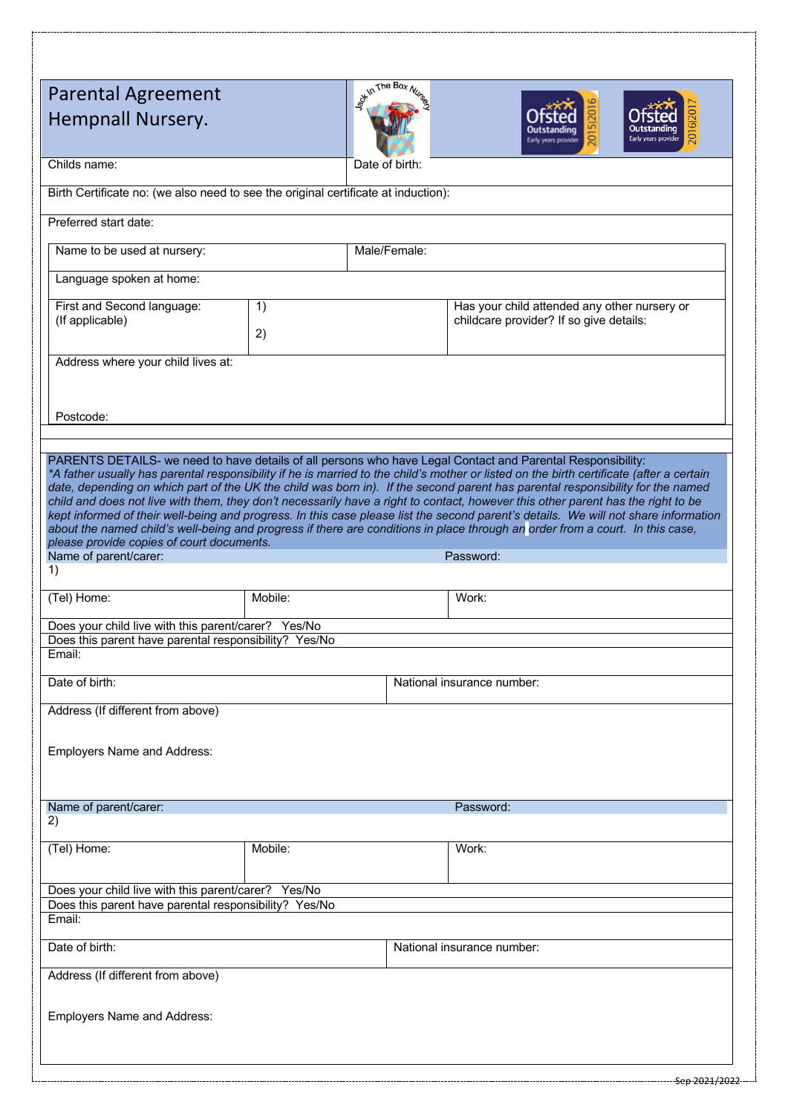| <b>Parental Agreement</b><br>Hempnall Nursery.                                                                         |         | of the Box N |                            |                                                                                                                                                                                                                                                                                                                                                                                                                                                                                                                                                                                                                                                                                                                                                                                                                    |  |  |
|------------------------------------------------------------------------------------------------------------------------|---------|--------------|----------------------------|--------------------------------------------------------------------------------------------------------------------------------------------------------------------------------------------------------------------------------------------------------------------------------------------------------------------------------------------------------------------------------------------------------------------------------------------------------------------------------------------------------------------------------------------------------------------------------------------------------------------------------------------------------------------------------------------------------------------------------------------------------------------------------------------------------------------|--|--|
| Childs name:<br>Date of birth:                                                                                         |         |              |                            |                                                                                                                                                                                                                                                                                                                                                                                                                                                                                                                                                                                                                                                                                                                                                                                                                    |  |  |
| Birth Certificate no: (we also need to see the original certificate at induction):                                     |         |              |                            |                                                                                                                                                                                                                                                                                                                                                                                                                                                                                                                                                                                                                                                                                                                                                                                                                    |  |  |
| Preferred start date:                                                                                                  |         |              |                            |                                                                                                                                                                                                                                                                                                                                                                                                                                                                                                                                                                                                                                                                                                                                                                                                                    |  |  |
| Name to be used at nursery:                                                                                            |         |              | Male/Female:               |                                                                                                                                                                                                                                                                                                                                                                                                                                                                                                                                                                                                                                                                                                                                                                                                                    |  |  |
| Language spoken at home:                                                                                               |         |              |                            |                                                                                                                                                                                                                                                                                                                                                                                                                                                                                                                                                                                                                                                                                                                                                                                                                    |  |  |
| First and Second language:<br>(If applicable)                                                                          | 1)      |              |                            | Has your child attended any other nursery or<br>childcare provider? If so give details:                                                                                                                                                                                                                                                                                                                                                                                                                                                                                                                                                                                                                                                                                                                            |  |  |
|                                                                                                                        | 2)      |              |                            |                                                                                                                                                                                                                                                                                                                                                                                                                                                                                                                                                                                                                                                                                                                                                                                                                    |  |  |
| Address where your child lives at:<br>Postcode:                                                                        |         |              |                            |                                                                                                                                                                                                                                                                                                                                                                                                                                                                                                                                                                                                                                                                                                                                                                                                                    |  |  |
| please provide copies of court documents.<br>Name of parent/carer:<br>1)                                               |         |              |                            | PARENTS DETAILS- we need to have details of all persons who have Legal Contact and Parental Responsibility:<br>*A father usually has parental responsibility if he is married to the child's mother or listed on the birth certificate (after a certain<br>date, depending on which part of the UK the child was born in). If the second parent has parental responsibility for the named<br>child and does not live with them, they don't necessarily have a right to contact, however this other parent has the right to be<br>kept informed of their well-being and progress. In this case please list the second parent's details. We will not share information<br>about the named child's well-being and progress if there are conditions in place through an order from a court. In this case,<br>Password: |  |  |
| (Tel) Home:                                                                                                            | Mobile: |              |                            | Work:                                                                                                                                                                                                                                                                                                                                                                                                                                                                                                                                                                                                                                                                                                                                                                                                              |  |  |
| Does your child live with this parent/carer? Yes/No<br>Does this parent have parental responsibility? Yes/No<br>Email: |         |              |                            |                                                                                                                                                                                                                                                                                                                                                                                                                                                                                                                                                                                                                                                                                                                                                                                                                    |  |  |
| Date of birth:                                                                                                         |         |              | National insurance number: |                                                                                                                                                                                                                                                                                                                                                                                                                                                                                                                                                                                                                                                                                                                                                                                                                    |  |  |
| Address (If different from above)<br><b>Employers Name and Address:</b>                                                |         |              |                            |                                                                                                                                                                                                                                                                                                                                                                                                                                                                                                                                                                                                                                                                                                                                                                                                                    |  |  |
| Name of parent/carer:<br>2)                                                                                            |         |              |                            | Password:                                                                                                                                                                                                                                                                                                                                                                                                                                                                                                                                                                                                                                                                                                                                                                                                          |  |  |
| (Tel) Home:                                                                                                            | Mobile: |              |                            | Work:                                                                                                                                                                                                                                                                                                                                                                                                                                                                                                                                                                                                                                                                                                                                                                                                              |  |  |
| Does your child live with this parent/carer? Yes/No<br>Does this parent have parental responsibility? Yes/No<br>Email: |         |              |                            |                                                                                                                                                                                                                                                                                                                                                                                                                                                                                                                                                                                                                                                                                                                                                                                                                    |  |  |
| Date of birth:                                                                                                         |         |              |                            | National insurance number:                                                                                                                                                                                                                                                                                                                                                                                                                                                                                                                                                                                                                                                                                                                                                                                         |  |  |
| Address (If different from above)<br><b>Employers Name and Address:</b>                                                |         |              |                            |                                                                                                                                                                                                                                                                                                                                                                                                                                                                                                                                                                                                                                                                                                                                                                                                                    |  |  |
|                                                                                                                        |         |              |                            | Sep 2021/202                                                                                                                                                                                                                                                                                                                                                                                                                                                                                                                                                                                                                                                                                                                                                                                                       |  |  |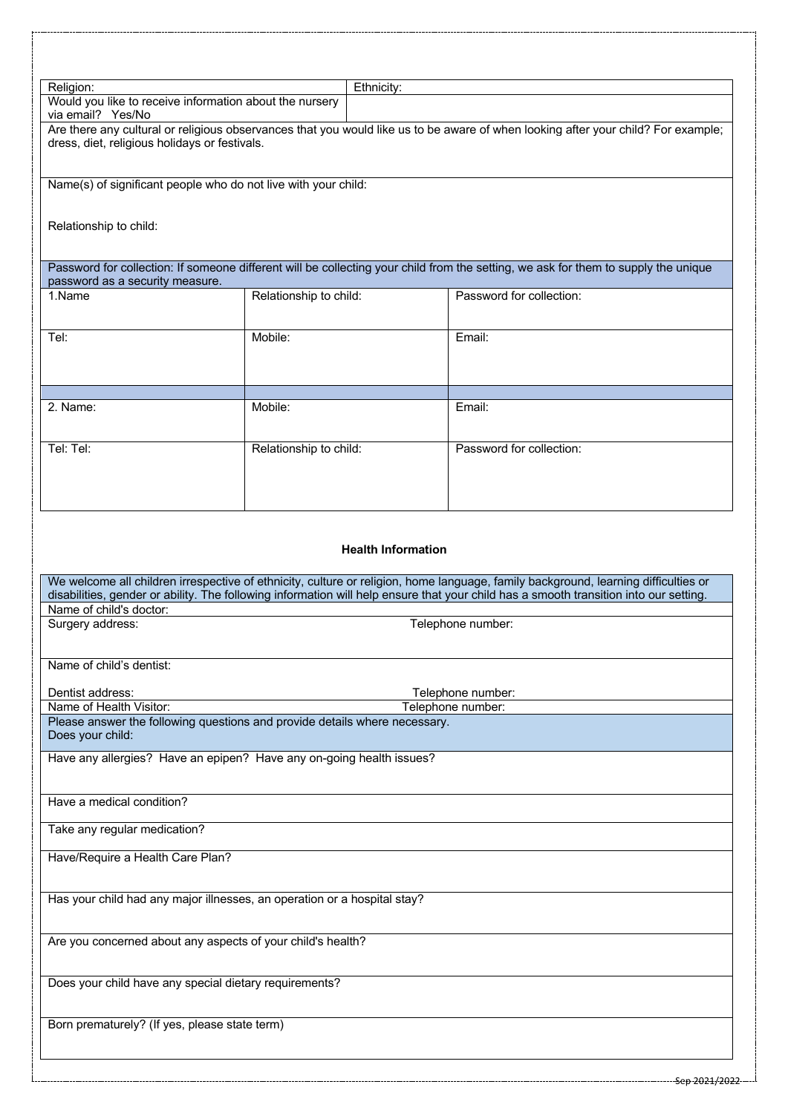| Religion:                                                                                                                                                                                               | Ethnicity:                                                               |                                                                                                                                                                                                                                                                                                          |  |  |  |
|---------------------------------------------------------------------------------------------------------------------------------------------------------------------------------------------------------|--------------------------------------------------------------------------|----------------------------------------------------------------------------------------------------------------------------------------------------------------------------------------------------------------------------------------------------------------------------------------------------------|--|--|--|
| Would you like to receive information about the nursery                                                                                                                                                 |                                                                          |                                                                                                                                                                                                                                                                                                          |  |  |  |
| via email? Yes/No<br>Are there any cultural or religious observances that you would like us to be aware of when looking after your child? For example;<br>dress, diet, religious holidays or festivals. |                                                                          |                                                                                                                                                                                                                                                                                                          |  |  |  |
|                                                                                                                                                                                                         | Name(s) of significant people who do not live with your child:           |                                                                                                                                                                                                                                                                                                          |  |  |  |
| Relationship to child:                                                                                                                                                                                  |                                                                          |                                                                                                                                                                                                                                                                                                          |  |  |  |
| password as a security measure.                                                                                                                                                                         |                                                                          | Password for collection: If someone different will be collecting your child from the setting, we ask for them to supply the unique                                                                                                                                                                       |  |  |  |
| 1.Name                                                                                                                                                                                                  | Relationship to child:                                                   | Password for collection:                                                                                                                                                                                                                                                                                 |  |  |  |
| Tel:                                                                                                                                                                                                    | Mobile:                                                                  | Email:                                                                                                                                                                                                                                                                                                   |  |  |  |
|                                                                                                                                                                                                         |                                                                          |                                                                                                                                                                                                                                                                                                          |  |  |  |
| 2. Name:                                                                                                                                                                                                | Mobile:                                                                  | Email:                                                                                                                                                                                                                                                                                                   |  |  |  |
| Tel: Tel:                                                                                                                                                                                               | Relationship to child:                                                   | Password for collection:                                                                                                                                                                                                                                                                                 |  |  |  |
| Name of child's doctor:                                                                                                                                                                                 |                                                                          | <b>Health Information</b><br>We welcome all children irrespective of ethnicity, culture or religion, home language, family background, learning difficulties or<br>disabilities, gender or ability. The following information will help ensure that your child has a smooth transition into our setting. |  |  |  |
| Surgery address:                                                                                                                                                                                        |                                                                          | Telephone number:                                                                                                                                                                                                                                                                                        |  |  |  |
| Name of child's dentist:                                                                                                                                                                                |                                                                          |                                                                                                                                                                                                                                                                                                          |  |  |  |
| Dentist address:<br>Telephone number:<br>Name of Health Visitor:<br>Telephone number:                                                                                                                   |                                                                          |                                                                                                                                                                                                                                                                                                          |  |  |  |
| Please answer the following questions and provide details where necessary.<br>Does your child:                                                                                                          |                                                                          |                                                                                                                                                                                                                                                                                                          |  |  |  |
|                                                                                                                                                                                                         | Have any allergies? Have an epipen? Have any on-going health issues?     |                                                                                                                                                                                                                                                                                                          |  |  |  |
| Have a medical condition?                                                                                                                                                                               |                                                                          |                                                                                                                                                                                                                                                                                                          |  |  |  |
| Take any regular medication?                                                                                                                                                                            |                                                                          |                                                                                                                                                                                                                                                                                                          |  |  |  |
| Have/Require a Health Care Plan?                                                                                                                                                                        |                                                                          |                                                                                                                                                                                                                                                                                                          |  |  |  |
|                                                                                                                                                                                                         | Has your child had any major illnesses, an operation or a hospital stay? |                                                                                                                                                                                                                                                                                                          |  |  |  |
|                                                                                                                                                                                                         | Are you concerned about any aspects of your child's health?              |                                                                                                                                                                                                                                                                                                          |  |  |  |
| Does your child have any special dietary requirements?                                                                                                                                                  |                                                                          |                                                                                                                                                                                                                                                                                                          |  |  |  |
| Born prematurely? (If yes, please state term)                                                                                                                                                           |                                                                          |                                                                                                                                                                                                                                                                                                          |  |  |  |
|                                                                                                                                                                                                         |                                                                          |                                                                                                                                                                                                                                                                                                          |  |  |  |
|                                                                                                                                                                                                         |                                                                          | Sep 2021/2022                                                                                                                                                                                                                                                                                            |  |  |  |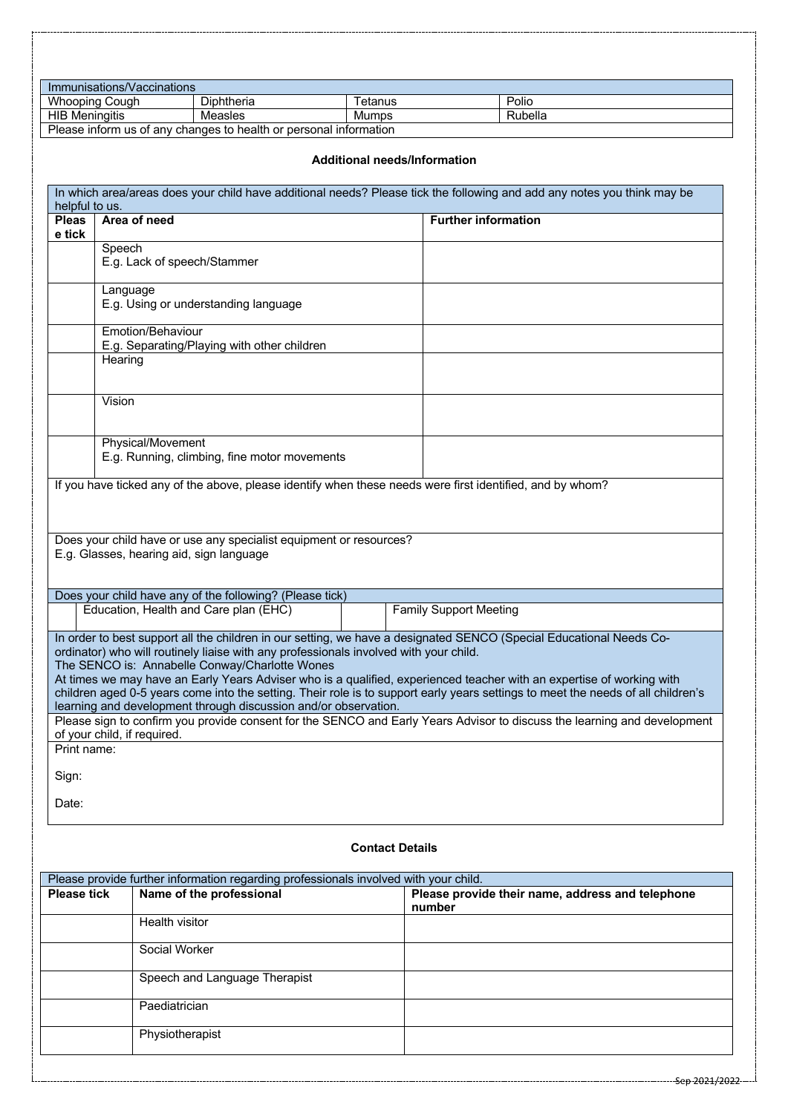|                                | Immunisations/Vaccinations               |                                                                                                                                                                                                            |                                     |                                                                                                                                                                                                                                                                                                                                                                                  |
|--------------------------------|------------------------------------------|------------------------------------------------------------------------------------------------------------------------------------------------------------------------------------------------------------|-------------------------------------|----------------------------------------------------------------------------------------------------------------------------------------------------------------------------------------------------------------------------------------------------------------------------------------------------------------------------------------------------------------------------------|
|                                | Whooping Cough                           | Diphtheria                                                                                                                                                                                                 | Tetanus                             | Polio                                                                                                                                                                                                                                                                                                                                                                            |
| <b>HIB Meningitis</b>          |                                          | Measles                                                                                                                                                                                                    | Mumps                               | Rubella                                                                                                                                                                                                                                                                                                                                                                          |
|                                |                                          | Please inform us of any changes to health or personal information                                                                                                                                          |                                     |                                                                                                                                                                                                                                                                                                                                                                                  |
|                                |                                          |                                                                                                                                                                                                            | <b>Additional needs/Information</b> | In which area/areas does your child have additional needs? Please tick the following and add any notes you think may be                                                                                                                                                                                                                                                          |
| helpful to us.<br><b>Pleas</b> | Area of need                             |                                                                                                                                                                                                            |                                     | <b>Further information</b>                                                                                                                                                                                                                                                                                                                                                       |
| e tick                         |                                          |                                                                                                                                                                                                            |                                     |                                                                                                                                                                                                                                                                                                                                                                                  |
|                                | Speech                                   |                                                                                                                                                                                                            |                                     |                                                                                                                                                                                                                                                                                                                                                                                  |
|                                | E.g. Lack of speech/Stammer              |                                                                                                                                                                                                            |                                     |                                                                                                                                                                                                                                                                                                                                                                                  |
|                                | Language                                 | E.g. Using or understanding language                                                                                                                                                                       |                                     |                                                                                                                                                                                                                                                                                                                                                                                  |
|                                | Emotion/Behaviour                        |                                                                                                                                                                                                            |                                     |                                                                                                                                                                                                                                                                                                                                                                                  |
|                                | Hearing                                  | E.g. Separating/Playing with other children                                                                                                                                                                |                                     |                                                                                                                                                                                                                                                                                                                                                                                  |
|                                |                                          |                                                                                                                                                                                                            |                                     |                                                                                                                                                                                                                                                                                                                                                                                  |
|                                | Vision                                   |                                                                                                                                                                                                            |                                     |                                                                                                                                                                                                                                                                                                                                                                                  |
|                                | Physical/Movement                        | E.g. Running, climbing, fine motor movements                                                                                                                                                               |                                     | If you have ticked any of the above, please identify when these needs were first identified, and by whom?                                                                                                                                                                                                                                                                        |
|                                | E.g. Glasses, hearing aid, sign language | Does your child have or use any specialist equipment or resources?                                                                                                                                         |                                     |                                                                                                                                                                                                                                                                                                                                                                                  |
|                                |                                          | Does your child have any of the following? (Please tick)                                                                                                                                                   |                                     |                                                                                                                                                                                                                                                                                                                                                                                  |
|                                |                                          | Education, Health and Care plan (EHC)                                                                                                                                                                      |                                     | <b>Family Support Meeting</b>                                                                                                                                                                                                                                                                                                                                                    |
|                                |                                          | ordinator) who will routinely liaise with any professionals involved with your child.<br>The SENCO is: Annabelle Conway/Charlotte Wones<br>learning and development through discussion and/or observation. |                                     | In order to best support all the children in our setting, we have a designated SENCO (Special Educational Needs Co-<br>At times we may have an Early Years Adviser who is a qualified, experienced teacher with an expertise of working with<br>children aged 0-5 years come into the setting. Their role is to support early years settings to meet the needs of all children's |
|                                | of your child, if required.              |                                                                                                                                                                                                            |                                     | Please sign to confirm you provide consent for the SENCO and Early Years Advisor to discuss the learning and development                                                                                                                                                                                                                                                         |
| Print name:                    |                                          |                                                                                                                                                                                                            |                                     |                                                                                                                                                                                                                                                                                                                                                                                  |
| Sign:                          |                                          |                                                                                                                                                                                                            |                                     |                                                                                                                                                                                                                                                                                                                                                                                  |
| Date:                          |                                          |                                                                                                                                                                                                            |                                     |                                                                                                                                                                                                                                                                                                                                                                                  |

# **Contact Details**

| Please provide further information regarding professionals involved with your child. |                                                                              |        |  |  |  |
|--------------------------------------------------------------------------------------|------------------------------------------------------------------------------|--------|--|--|--|
| <b>Please tick</b>                                                                   | Name of the professional<br>Please provide their name, address and telephone |        |  |  |  |
|                                                                                      |                                                                              | number |  |  |  |
|                                                                                      | Health visitor                                                               |        |  |  |  |
|                                                                                      | Social Worker                                                                |        |  |  |  |
|                                                                                      | Speech and Language Therapist                                                |        |  |  |  |
|                                                                                      | Paediatrician                                                                |        |  |  |  |
|                                                                                      | Physiotherapist                                                              |        |  |  |  |

. . . . . . . .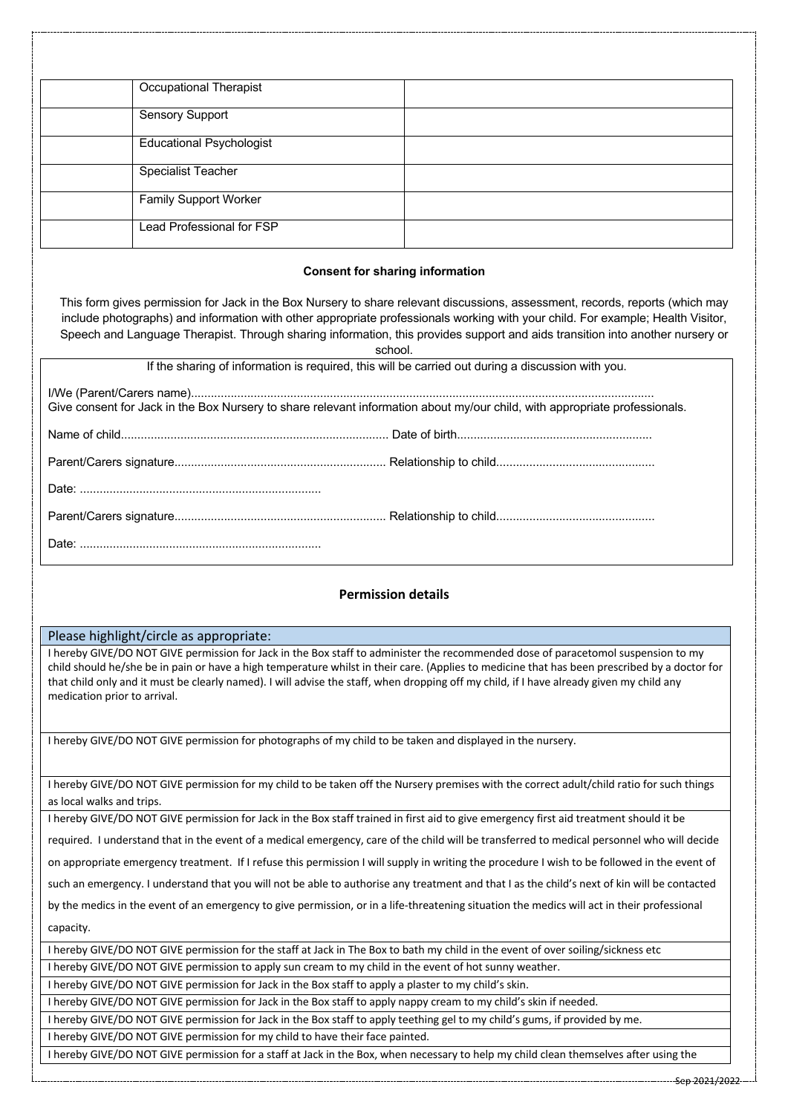| <b>Occupational Therapist</b>   |  |
|---------------------------------|--|
| Sensory Support                 |  |
| <b>Educational Psychologist</b> |  |
| <b>Specialist Teacher</b>       |  |
| <b>Family Support Worker</b>    |  |
| Lead Professional for FSP       |  |

### **Consent for sharing information**

This form gives permission for Jack in the Box Nursery to share relevant discussions, assessment, records, reports (which may include photographs) and information with other appropriate professionals working with your child. For example; Health Visitor, Speech and Language Therapist. Through sharing information, this provides support and aids transition into another nursery or

school.

|                                                                                                                            | <u>JUHUJ.</u> |
|----------------------------------------------------------------------------------------------------------------------------|---------------|
| If the sharing of information is required, this will be carried out during a discussion with you.                          |               |
| Give consent for Jack in the Box Nursery to share relevant information about my/our child, with appropriate professionals. |               |
|                                                                                                                            |               |
|                                                                                                                            |               |
|                                                                                                                            |               |
|                                                                                                                            |               |
|                                                                                                                            |               |

## **Permission details**

### Please highlight/circle as appropriate:

I hereby GIVE/DO NOT GIVE permission for Jack in the Box staff to administer the recommended dose of paracetomol suspension to my child should he/she be in pain or have a high temperature whilst in their care. (Applies to medicine that has been prescribed by a doctor for that child only and it must be clearly named). I will advise the staff, when dropping off my child, if I have already given my child any medication prior to arrival.

I hereby GIVE/DO NOT GIVE permission for photographs of my child to be taken and displayed in the nursery.

I hereby GIVE/DO NOT GIVE permission for my child to be taken off the Nursery premises with the correct adult/child ratio for such things as local walks and trips.

I hereby GIVE/DO NOT GIVE permission for Jack in the Box staff trained in first aid to give emergency first aid treatment should it be

required. I understand that in the event of a medical emergency, care of the child will be transferred to medical personnel who will decide

on appropriate emergency treatment. If I refuse this permission I will supply in writing the procedure I wish to be followed in the event of

such an emergency. I understand that you will not be able to authorise any treatment and that I as the child's next of kin will be contacted

by the medics in the event of an emergency to give permission, or in a life-threatening situation the medics will act in their professional capacity.

I hereby GIVE/DO NOT GIVE permission for the staff at Jack in The Box to bath my child in the event of over soiling/sickness etc I hereby GIVE/DO NOT GIVE permission to apply sun cream to my child in the event of hot sunny weather.

I hereby GIVE/DO NOT GIVE permission for Jack in the Box staff to apply a plaster to my child's skin.

I hereby GIVE/DO NOT GIVE permission for Jack in the Box staff to apply nappy cream to my child's skin if needed.

I hereby GIVE/DO NOT GIVE permission for Jack in the Box staff to apply teething gel to my child's gums, if provided by me.

I hereby GIVE/DO NOT GIVE permission for my child to have their face painted.

I hereby GIVE/DO NOT GIVE permission for a staff at Jack in the Box, when necessary to help my child clean themselves after using the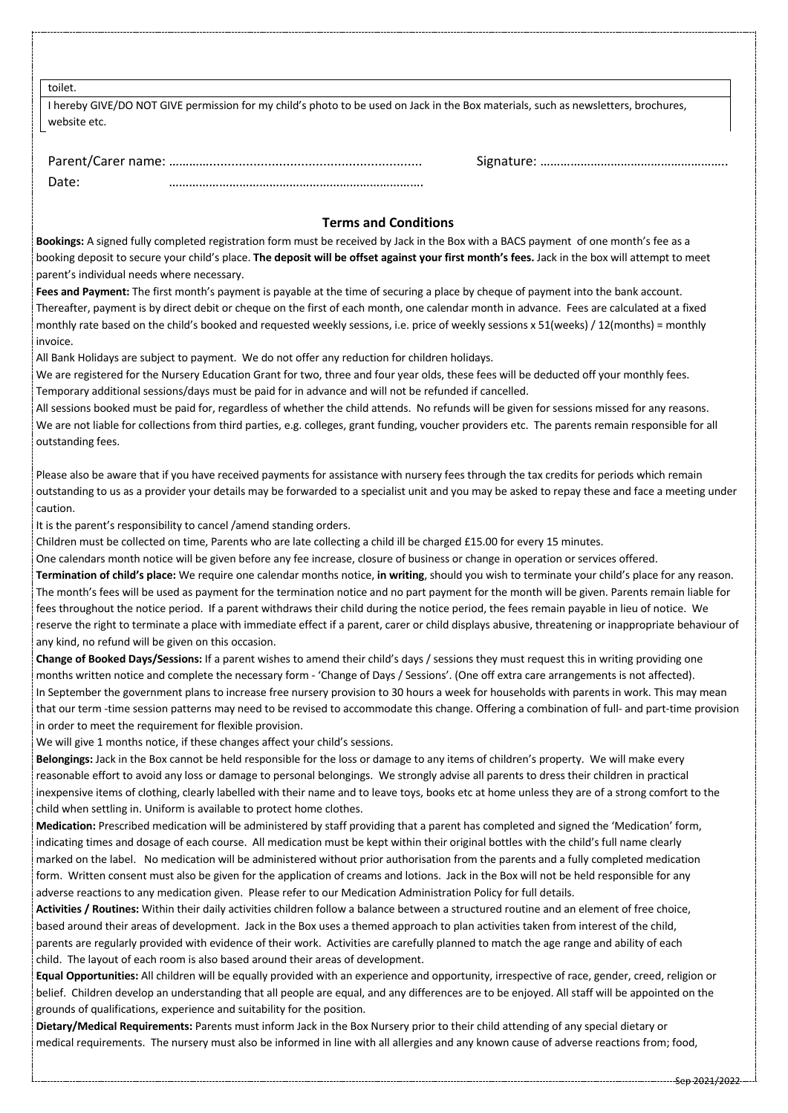toilet.

| I hereby GIVE/DO NOT GIVE permission for my child's photo to be used on Jack in the Box materials, such as newsletters, brochures, |  |
|------------------------------------------------------------------------------------------------------------------------------------|--|
| website etc.                                                                                                                       |  |

| Date: |  |
|-------|--|

## Parent/Carer name: ………….......................................................... Signature: ………………………………………………..

# **Terms and Conditions**

**Bookings:** A signed fully completed registration form must be received by Jack in the Box with a BACS payment of one month's fee as a booking deposit to secure your child's place. **The deposit will be offset against your first month's fees.** Jack in the box will attempt to meet parent's individual needs where necessary.

**Fees and Payment:** The first month's payment is payable at the time of securing a place by cheque of payment into the bank account. Thereafter, payment is by direct debit or cheque on the first of each month, one calendar month in advance. Fees are calculated at a fixed monthly rate based on the child's booked and requested weekly sessions, i.e. price of weekly sessions x 51(weeks) / 12(months) = monthly invoice.

All Bank Holidays are subject to payment. We do not offer any reduction for children holidays.

We are registered for the Nursery Education Grant for two, three and four year olds, these fees will be deducted off your monthly fees. Temporary additional sessions/days must be paid for in advance and will not be refunded if cancelled.

All sessions booked must be paid for, regardless of whether the child attends. No refunds will be given for sessions missed for any reasons. We are not liable for collections from third parties, e.g. colleges, grant funding, voucher providers etc. The parents remain responsible for all outstanding fees.

Please also be aware that if you have received payments for assistance with nursery fees through the tax credits for periods which remain outstanding to us as a provider your details may be forwarded to a specialist unit and you may be asked to repay these and face a meeting under caution.

It is the parent's responsibility to cancel /amend standing orders.

Children must be collected on time, Parents who are late collecting a child ill be charged £15.00 for every 15 minutes.

One calendars month notice will be given before any fee increase, closure of business or change in operation or services offered. **Termination of child's place:** We require one calendar months notice, **in writing**, should you wish to terminate your child's place for any reason. The month's fees will be used as payment for the termination notice and no part payment for the month will be given. Parents remain liable for fees throughout the notice period. If a parent withdraws their child during the notice period, the fees remain payable in lieu of notice. We reserve the right to terminate a place with immediate effect if a parent, carer or child displays abusive, threatening or inappropriate behaviour of any kind, no refund will be given on this occasion.

**Change of Booked Days/Sessions:** If a parent wishes to amend their child's days / sessions they must request this in writing providing one months written notice and complete the necessary form - 'Change of Days / Sessions'. (One off extra care arrangements is not affected). In September the government plans to increase free nursery provision to 30 hours a week for households with parents in work. This may mean that our term -time session patterns may need to be revised to accommodate this change. Offering a combination of full- and part-time provision in order to meet the requirement for flexible provision.

We will give 1 months notice, if these changes affect your child's sessions.

**Belongings:** Jack in the Box cannot be held responsible for the loss or damage to any items of children's property. We will make every reasonable effort to avoid any loss or damage to personal belongings. We strongly advise all parents to dress their children in practical inexpensive items of clothing, clearly labelled with their name and to leave toys, books etc at home unless they are of a strong comfort to the child when settling in. Uniform is available to protect home clothes.

**Medication:** Prescribed medication will be administered by staff providing that a parent has completed and signed the 'Medication' form, indicating times and dosage of each course. All medication must be kept within their original bottles with the child's full name clearly marked on the label. No medication will be administered without prior authorisation from the parents and a fully completed medication form. Written consent must also be given for the application of creams and lotions. Jack in the Box will not be held responsible for any adverse reactions to any medication given. Please refer to our Medication Administration Policy for full details.

**Activities / Routines:** Within their daily activities children follow a balance between a structured routine and an element of free choice, based around their areas of development. Jack in the Box uses a themed approach to plan activities taken from interest of the child, parents are regularly provided with evidence of their work. Activities are carefully planned to match the age range and ability of each child. The layout of each room is also based around their areas of development.

**Equal Opportunities:** All children will be equally provided with an experience and opportunity, irrespective of race, gender, creed, religion or belief. Children develop an understanding that all people are equal, and any differences are to be enjoyed. All staff will be appointed on the grounds of qualifications, experience and suitability for the position.

**Dietary/Medical Requirements:** Parents must inform Jack in the Box Nursery prior to their child attending of any special dietary or medical requirements. The nursery must also be informed in line with all allergies and any known cause of adverse reactions from; food,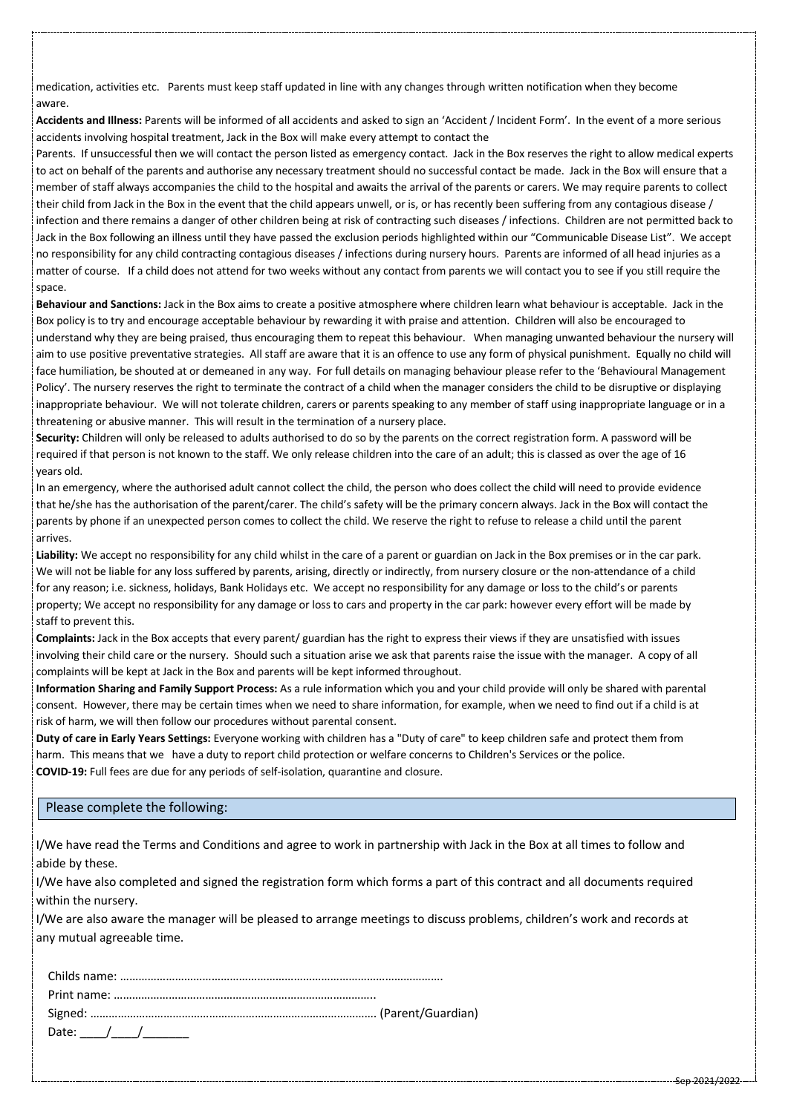medication, activities etc. Parents must keep staff updated in line with any changes through written notification when they become aware.

**Accidents and Illness:** Parents will be informed of all accidents and asked to sign an 'Accident / Incident Form'. In the event of a more serious accidents involving hospital treatment, Jack in the Box will make every attempt to contact the

Parents. If unsuccessful then we will contact the person listed as emergency contact. Jack in the Box reserves the right to allow medical experts to act on behalf of the parents and authorise any necessary treatment should no successful contact be made. Jack in the Box will ensure that a member of staff always accompanies the child to the hospital and awaits the arrival of the parents or carers. We may require parents to collect their child from Jack in the Box in the event that the child appears unwell, or is, or has recently been suffering from any contagious disease / infection and there remains a danger of other children being at risk of contracting such diseases / infections. Children are not permitted back to Jack in the Box following an illness until they have passed the exclusion periods highlighted within our "Communicable Disease List". We accept no responsibility for any child contracting contagious diseases / infections during nursery hours. Parents are informed of all head injuries as a matter of course. If a child does not attend for two weeks without any contact from parents we will contact you to see if you still require the space.

**Behaviour and Sanctions:** Jack in the Box aims to create a positive atmosphere where children learn what behaviour is acceptable. Jack in the Box policy is to try and encourage acceptable behaviour by rewarding it with praise and attention. Children will also be encouraged to understand why they are being praised, thus encouraging them to repeat this behaviour. When managing unwanted behaviour the nursery will aim to use positive preventative strategies. All staff are aware that it is an offence to use any form of physical punishment. Equally no child will face humiliation, be shouted at or demeaned in any way. For full details on managing behaviour please refer to the 'Behavioural Management Policy'. The nursery reserves the right to terminate the contract of a child when the manager considers the child to be disruptive or displaying inappropriate behaviour. We will not tolerate children, carers or parents speaking to any member of staff using inappropriate language or in a threatening or abusive manner. This will result in the termination of a nursery place.

**Security:** Children will only be released to adults authorised to do so by the parents on the correct registration form. A password will be required if that person is not known to the staff. We only release children into the care of an adult; this is classed as over the age of 16 years old.

In an emergency, where the authorised adult cannot collect the child, the person who does collect the child will need to provide evidence that he/she has the authorisation of the parent/carer. The child's safety will be the primary concern always. Jack in the Box will contact the parents by phone if an unexpected person comes to collect the child. We reserve the right to refuse to release a child until the parent arrives.

**Liability:** We accept no responsibility for any child whilst in the care of a parent or guardian on Jack in the Box premises or in the car park. We will not be liable for any loss suffered by parents, arising, directly or indirectly, from nursery closure or the non-attendance of a child for any reason; i.e. sickness, holidays, Bank Holidays etc. We accept no responsibility for any damage or loss to the child's or parents property; We accept no responsibility for any damage or loss to cars and property in the car park: however every effort will be made by staff to prevent this.

**Complaints:** Jack in the Box accepts that every parent/ guardian has the right to express their views if they are unsatisfied with issues involving their child care or the nursery. Should such a situation arise we ask that parents raise the issue with the manager. A copy of all complaints will be kept at Jack in the Box and parents will be kept informed throughout.

**Information Sharing and Family Support Process:** As a rule information which you and your child provide will only be shared with parental consent. However, there may be certain times when we need to share information, for example, when we need to find out if a child is at risk of harm, we will then follow our procedures without parental consent.

**Duty of care in Early Years Settings:** Everyone working with children has a "Duty of care" to keep children safe and protect them from harm. This means that we have a duty to report child protection or welfare concerns to Children's Services or the police. **COVID-19:** Full fees are due for any periods of self-isolation, quarantine and closure.

### Please complete the following:

I/We have read the Terms and Conditions and agree to work in partnership with Jack in the Box at all times to follow and abide by these.

I/We have also completed and signed the registration form which forms a part of this contract and all documents required within the nursery.

I/We are also aware the manager will be pleased to arrange meetings to discuss problems, children's work and records at any mutual agreeable time.

| Date: $\angle$ / / $\angle$ |  |
|-----------------------------|--|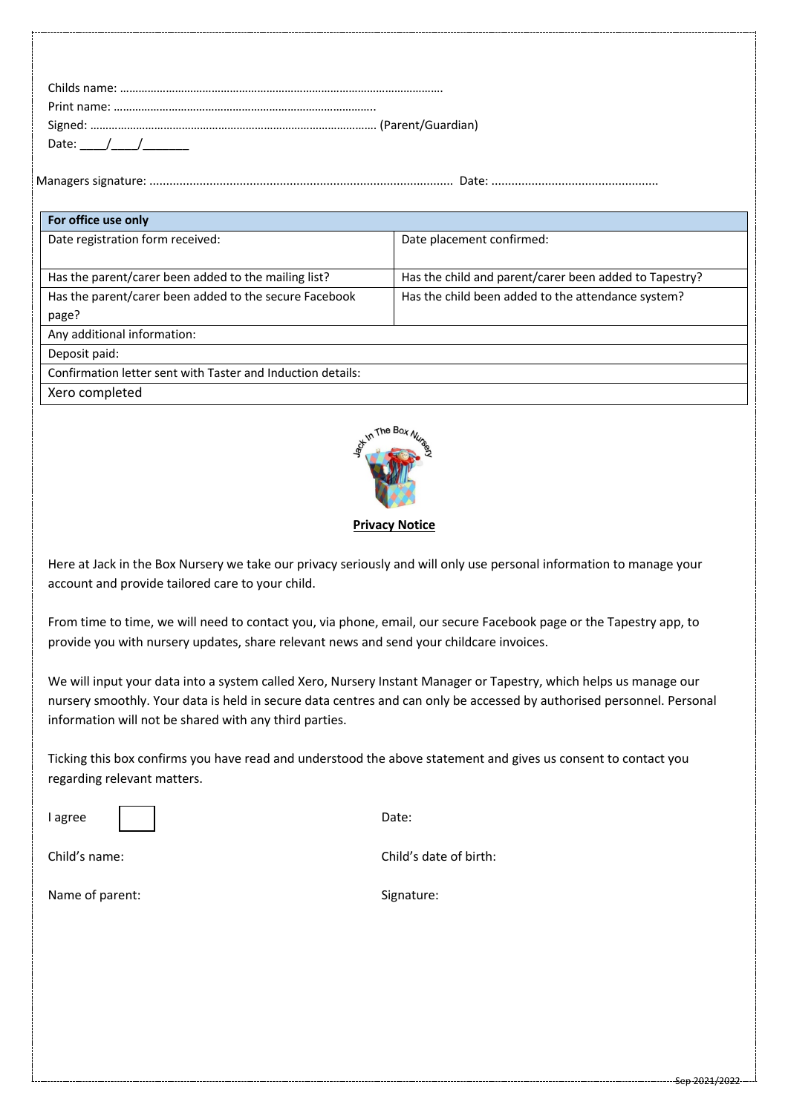| Date: $/$ / |  |
|-------------|--|

Managers signature: ........................................................................................... Date: ..................................................

| For office use only                                         |                                                        |  |  |  |
|-------------------------------------------------------------|--------------------------------------------------------|--|--|--|
| Date registration form received:                            | Date placement confirmed:                              |  |  |  |
|                                                             |                                                        |  |  |  |
| Has the parent/carer been added to the mailing list?        | Has the child and parent/carer been added to Tapestry? |  |  |  |
| Has the parent/carer been added to the secure Facebook      | Has the child been added to the attendance system?     |  |  |  |
| page?                                                       |                                                        |  |  |  |
| Any additional information:                                 |                                                        |  |  |  |
| Deposit paid:                                               |                                                        |  |  |  |
| Confirmation letter sent with Taster and Induction details: |                                                        |  |  |  |
| Xero completed                                              |                                                        |  |  |  |



## **Privacy Notice**

Here at Jack in the Box Nursery we take our privacy seriously and will only use personal information to manage your account and provide tailored care to your child.

From time to time, we will need to contact you, via phone, email, our secure Facebook page or the Tapestry app, to provide you with nursery updates, share relevant news and send your childcare invoices.

We will input your data into a system called Xero, Nursery Instant Manager or Tapestry, which helps us manage our nursery smoothly. Your data is held in secure data centres and can only be accessed by authorised personnel. Personal information will not be shared with any third parties.

Ticking this box confirms you have read and understood the above statement and gives us consent to contact you regarding relevant matters.

I agree a contract a contract of the Date:

Child's name: Child's date of birth:

Name of parent: Signature: Signature: